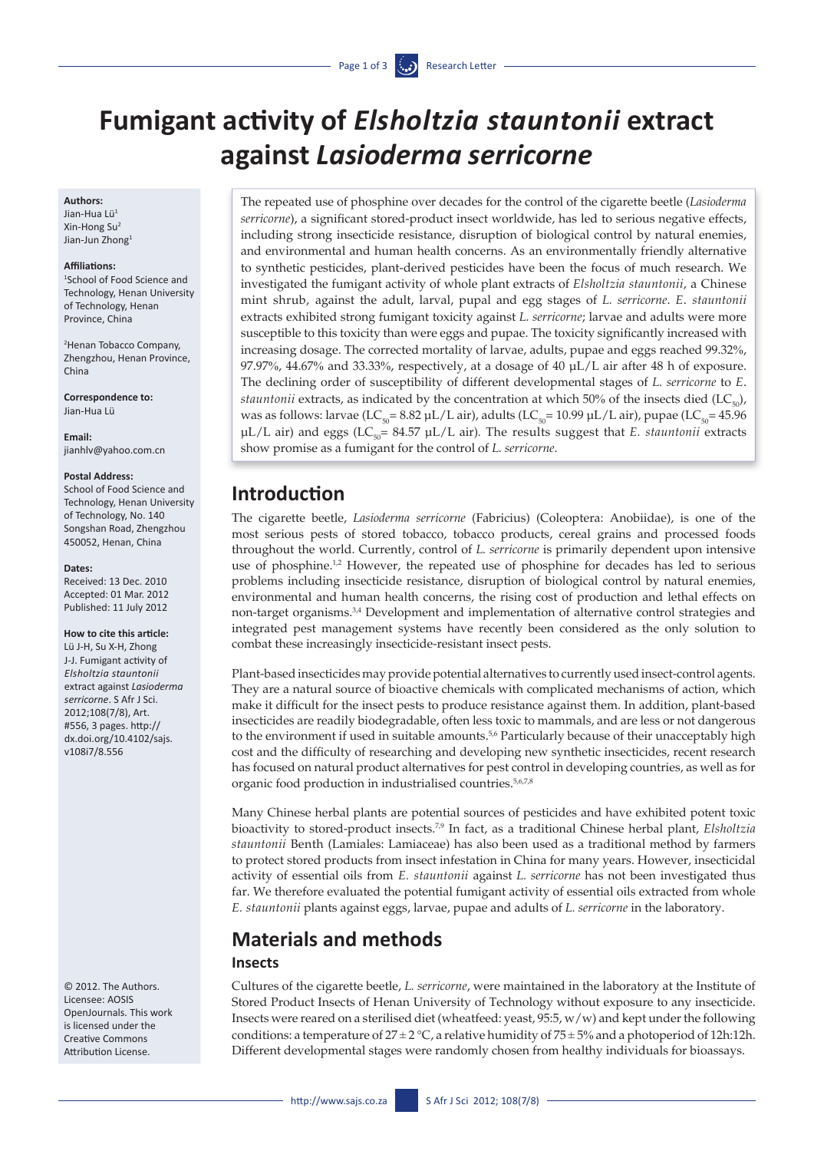# **Fumigant activity of** *Elsholtzia stauntonii* **extract against** *Lasioderma serricorne*

#### **Authors:**

Jian-Hua Lü1 Xin-Hong Su2 Jian-Jun Zhong<sup>1</sup>

#### **Affiliations:**

1 School of Food Science and Technology, Henan University of Technology, Henan Province, China

2 Henan Tobacco Company, Zhengzhou, Henan Province, China

**Correspondence to:** Jian-Hua Lü

**Email:** [jianhlv@yahoo.com.cn](mailto:jianhlv@yahoo.com.cn)

#### **Postal Address:**

School of Food Science and Technology, Henan University of Technology, No. 140 Songshan Road, Zhengzhou 450052, Henan, China

#### **Dates:**

Received: 13 Dec. 2010 Accepted: 01 Mar. 2012 Published: 11 July 2012

#### **How to cite this article:**

Lü J-H, Su X-H, Zhong J-J. Fumigant activity of *Elsholtzia stauntonii* extract against *Lasioderma serricorne*. S Afr J Sci. 2012;108(7/8), Art. #556, 3 pages. [http://](http://dx.doi.org/10.4102/sajs.v108i7/8.556) [dx.doi.org/10.4102/sajs.](http://dx.doi.org/10.4102/sajs.v108i7/8.556) [v108i7/8.556](http://dx.doi.org/10.4102/sajs.v108i7/8.556)

© 2012. The Authors. Licensee: AOSIS OpenJournals. This work is licensed under the Creative Commons Attribution License.

The repeated use of phosphine over decades for the control of the cigarette beetle (*Lasioderma serricorne*), a significant stored-product insect worldwide, has led to serious negative effects, including strong insecticide resistance, disruption of biological control by natural enemies, and environmental and human health concerns. As an environmentally friendly alternative to synthetic pesticides, plant-derived pesticides have been the focus of much research. We investigated the fumigant activity of whole plant extracts of *Elsholtzia stauntonii*, a Chinese mint shrub, against the adult, larval, pupal and egg stages of *L. serricorne*. *E*. *stauntonii* extracts exhibited strong fumigant toxicity against *L. serricorne*; larvae and adults were more susceptible to this toxicity than were eggs and pupae. The toxicity significantly increased with increasing dosage. The corrected mortality of larvae, adults, pupae and eggs reached 99.32%, 97.97%, 44.67% and 33.33%, respectively, at a dosage of 40 µL/L air after 48 h of exposure. The declining order of susceptibility of different developmental stages of *L. serricorne* to *E*. *stauntonii* extracts, as indicated by the concentration at which 50% of the insects died  $(LC_{s_0})$ , was as follows: larvae (LC<sub>50</sub>= 8.82 µL/L air), adults (LC<sub>50</sub>= 10.99 µL/L air), pupae (LC<sub>50</sub>= 45.96  $\mu$ L/L air) and eggs (LC<sub>50</sub>= 84.57  $\mu$ L/L air). The results suggest that *E. stauntonii* extracts show promise as a fumigant for the control of *L. serricorne*.

# **Introduction**

The cigarette beetle, *Lasioderma serricorne* (Fabricius) (Coleoptera: Anobiidae), is one of the most serious pests of stored tobacco, tobacco products, cereal grains and processed foods throughout the world. Currently, control of *L. serricorne* is primarily dependent upon intensive use of phosphine.<sup>1,2</sup> However, the repeated use of phosphine for decades has led to serious problems including insecticide resistance, disruption of biological control by natural enemies, environmental and human health concerns, the rising cost of production and lethal effects on non-target organisms.3,4 Development and implementation of alternative control strategies and integrated pest management systems have recently been considered as the only solution to combat these increasingly insecticide-resistant insect pests.

Plant-based insecticides may provide potential alternatives to currently used insect-control agents. They are a natural source of bioactive chemicals with complicated mechanisms of action, which make it difficult for the insect pests to produce resistance against them. In addition, plant-based insecticides are readily biodegradable, often less toxic to mammals, and are less or not dangerous to the environment if used in suitable amounts.<sup>5,6</sup> Particularly because of their unacceptably high cost and the difficulty of researching and developing new synthetic insecticides, recent research has focused on natural product alternatives for pest control in developing countries, as well as for organic food production in industrialised countries.5,6,7,8

Many Chinese herbal plants are potential sources of pesticides and have exhibited potent toxic bioactivity to stored-product insects.7,9 In fact, as a traditional Chinese herbal plant, *Elsholtzia stauntonii* Benth (Lamiales: Lamiaceae) has also been used as a traditional method by farmers to protect stored products from insect infestation in China for many years. However, insecticidal activity of essential oils from *E. stauntonii* against *L. serricorne* has not been investigated thus far. We therefore evaluated the potential fumigant activity of essential oils extracted from whole *E. stauntonii* plants against eggs, larvae, pupae and adults of *L. serricorne* in the laboratory.

# **Materials and methods**

#### **Insects**

Cultures of the cigarette beetle, *L. serricorne*, were maintained in the laboratory at the Institute of Stored Product Insects of Henan University of Technology without exposure to any insecticide. Insects were reared on a sterilised diet (wheatfeed: yeast, 95:5, w/w) and kept under the following conditions: a temperature of  $27 \pm 2$  °C, a relative humidity of  $75 \pm 5\%$  and a photoperiod of 12h:12h. Different developmental stages were randomly chosen from healthy individuals for bioassays.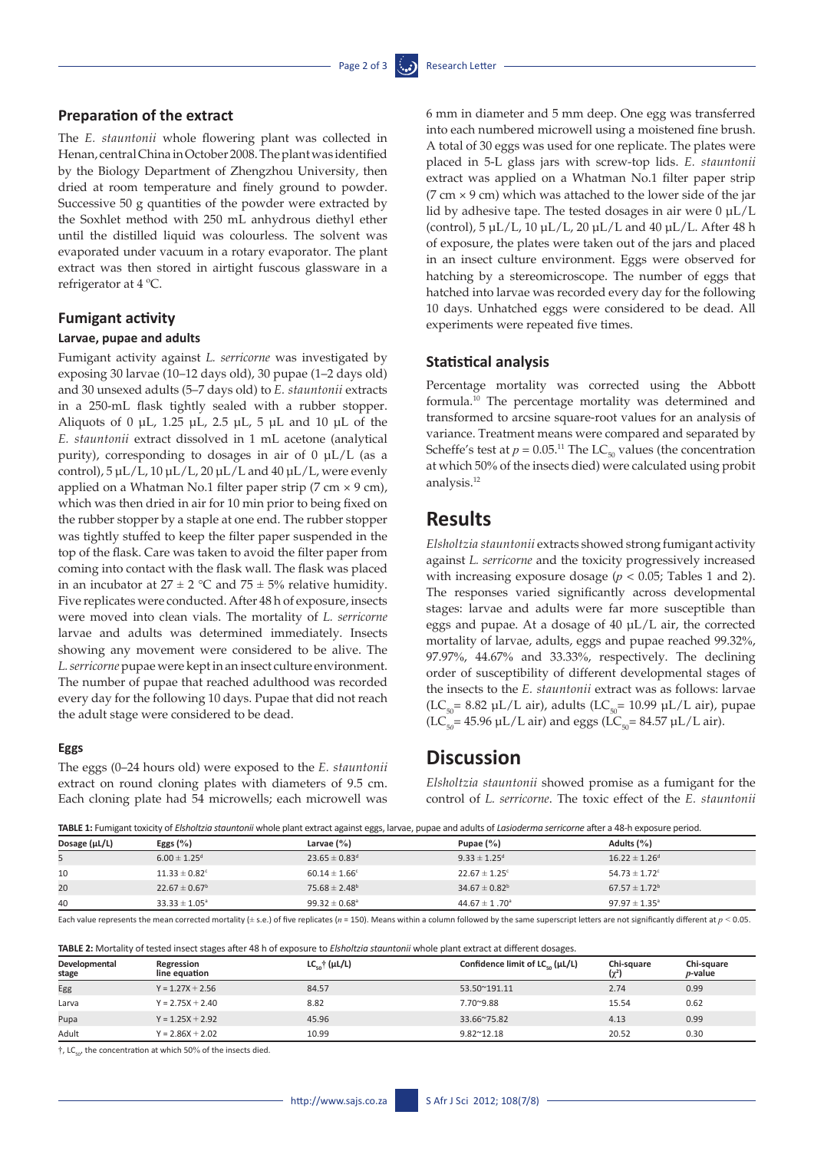#### **Preparation of the extract**

The *E. stauntonii* whole flowering plant was collected in Henan, central China in October 2008. The plant was identified by the Biology Department of Zhengzhou University, then dried at room temperature and finely ground to powder. Successive 50 g quantities of the powder were extracted by the Soxhlet method with 250 mL anhydrous diethyl ether until the distilled liquid was colourless. The solvent was evaporated under vacuum in a rotary evaporator. The plant extract was then stored in airtight fuscous glassware in a refrigerator at 4 ºC.

#### **Fumigant activity**

#### **Larvae, pupae and adults**

Fumigant activity against *L. serricorne* was investigated by exposing 30 larvae (10–12 days old), 30 pupae (1–2 days old) and 30 unsexed adults (5–7 days old) to *E. stauntonii* extracts in a 250-mL flask tightly sealed with a rubber stopper. Aliquots of 0 µL, 1.25 µL, 2.5 µL, 5 µL and 10 µL of the *E. stauntonii* extract dissolved in 1 mL acetone (analytical purity), corresponding to dosages in air of  $0 \mu L/L$  (as a control),  $5 \mu L/L$ ,  $10 \mu L/L$ ,  $20 \mu L/L$  and  $40 \mu L/L$ , were evenly applied on a Whatman No.1 filter paper strip  $(7 \text{ cm} \times 9 \text{ cm})$ , which was then dried in air for 10 min prior to being fixed on the rubber stopper by a staple at one end. The rubber stopper was tightly stuffed to keep the filter paper suspended in the top of the flask. Care was taken to avoid the filter paper from coming into contact with the flask wall. The flask was placed in an incubator at  $27 \pm 2$  °C and  $75 \pm 5$ % relative humidity. Five replicates were conducted. After 48 h of exposure, insects were moved into clean vials. The mortality of *L. serricorne* larvae and adults was determined immediately. Insects showing any movement were considered to be alive. The *L. serricorne* pupae were kept in an insect culture environment. The number of pupae that reached adulthood was recorded every day for the following 10 days. Pupae that did not reach the adult stage were considered to be dead.

#### **Eggs**

The eggs (0–24 hours old) were exposed to the *E. stauntonii* extract on round cloning plates with diameters of 9.5 cm. Each cloning plate had 54 microwells; each microwell was

6 mm in diameter and 5 mm deep. One egg was transferred into each numbered microwell using a moistened fine brush. A total of 30 eggs was used for one replicate. The plates were placed in 5-L glass jars with screw-top lids. *E. stauntonii* extract was applied on a Whatman No.1 filter paper strip (7 cm  $\times$  9 cm) which was attached to the lower side of the jar lid by adhesive tape. The tested dosages in air were  $0 \mu L/L$ (control), 5 µL/L, 10 µL/L, 20 µL/L and 40 µL/L. After 48 h of exposure, the plates were taken out of the jars and placed in an insect culture environment. Eggs were observed for hatching by a stereomicroscope. The number of eggs that hatched into larvae was recorded every day for the following 10 days. Unhatched eggs were considered to be dead. All experiments were repeated five times.

#### **Statistical analysis**

Percentage mortality was corrected using the Abbott formula.10 The percentage mortality was determined and transformed to arcsine square-root values for an analysis of variance. Treatment means were compared and separated by Scheffe's test at  $p = 0.05$ .<sup>11</sup> The LC<sub>50</sub> values (the concentration at which 50% of the insects died) were calculated using probit analysis.12

### **Results**

*Elsholtzia stauntonii* extracts showed strong fumigant activity against *L. serricorne* and the toxicity progressively increased with increasing exposure dosage (*p* < 0.05; Tables 1 and 2). The responses varied significantly across developmental stages: larvae and adults were far more susceptible than eggs and pupae. At a dosage of 40 µL/L air, the corrected mortality of larvae, adults, eggs and pupae reached 99.32%, 97.97%, 44.67% and 33.33%, respectively. The declining order of susceptibility of different developmental stages of the insects to the *E. stauntonii* extract was as follows: larvae (LC<sub>50</sub>= 8.82 µL/L air), adults (LC<sub>50</sub>= 10.99 µL/L air), pupae  $(LC_{50} = 45.96 \,\mu L/L \text{ air})$  and eggs  $(LC_{50} = 84.57 \,\mu L/L \text{ air})$ .

# **Discussion**

*Elsholtzia stauntonii* showed promise as a fumigant for the control of *L. serricorne*. The toxic effect of the *E. stauntonii*

| TABLE 1: Fumigant toxicity of Elsholtzia stauntonii whole plant extract against eggs, larvae, pupae and adults of Lasioderma serricorne after a 48-h exposure period. |  |
|-----------------------------------------------------------------------------------------------------------------------------------------------------------------------|--|
|                                                                                                                                                                       |  |

| <b>TribLE 2.</b> Paint to the concity of Editorization and the principle and accupation c <sub>ho</sub> o, tarvac, papacially advice of Editorities of Hotel and it chooses performed to the product performance of the concerning of the conc |                               |                               |                               |                               |  |  |  |
|------------------------------------------------------------------------------------------------------------------------------------------------------------------------------------------------------------------------------------------------|-------------------------------|-------------------------------|-------------------------------|-------------------------------|--|--|--|
| Dosage (µL/L)                                                                                                                                                                                                                                  | Eggs $(\%)$                   | Larvae $(\% )$                | Pupae $(\% )$                 | Adults $(\% )$                |  |  |  |
|                                                                                                                                                                                                                                                | $6.00 \pm 1.25$ <sup>d</sup>  | $23.65 \pm 0.83$ <sup>d</sup> | $9.33 \pm 1.25$ <sup>d</sup>  | $16.22 \pm 1.26$ <sup>d</sup> |  |  |  |
| 10                                                                                                                                                                                                                                             | $11.33 \pm 0.82$ <sup>c</sup> | $60.14 \pm 1.66^{\circ}$      | $22.67 \pm 1.25$ <sup>c</sup> | $54.73 \pm 1.72$ <sup>c</sup> |  |  |  |
| 20                                                                                                                                                                                                                                             | $22.67 \pm 0.67^{\rm b}$      | $75.68 \pm 2.48^{\circ}$      | $34.67 \pm 0.82^b$            | $67.57 \pm 1.72^b$            |  |  |  |
| 40                                                                                                                                                                                                                                             | $33.33 \pm 1.05^{\circ}$      | $99.32 \pm 0.68$ <sup>a</sup> | $44.67 \pm 1.70^a$            | $97.97 \pm 1.35^{\circ}$      |  |  |  |

Each value represents the mean corrected mortality (± s.e.) of five replicates (*n* = 150). Means within a column followed by the same superscript letters are not significantly different at *p <* 0.05.

**TABLE 2:** Mortality of tested insect stages after 48 h of exposure to *Elsholtzia stauntonii* whole plant extract at different dosages.

| Developmental<br>stage | Regression<br>line equation | $LC_{\epsilon_0}$ $(\mu L/L)$ | Confidence limit of LC <sub>co</sub> (µL/L) | Chi-square<br>$(\chi^2)$ | Chi-square<br>$p$ -value |
|------------------------|-----------------------------|-------------------------------|---------------------------------------------|--------------------------|--------------------------|
| Egg                    | $Y = 1.27X + 2.56$          | 84.57                         | 53.50~191.11                                | 2.74                     | 0.99                     |
| Larva                  | $Y = 2.75X + 2.40$          | 8.82                          | 7.70~9.88                                   | 15.54                    | 0.62                     |
| Pupa                   | $Y = 1.25X + 2.92$          | 45.96                         | 33.66~75.82                                 | 4.13                     | 0.99                     |
| Adult                  | $Y = 2.86X + 2.02$          | 10.99                         | $9.82^{\sim}12.18$                          | 20.52                    | 0.30                     |

 $\dagger$ , LC<sub>50</sub>, the concentration at which 50% of the insects died.